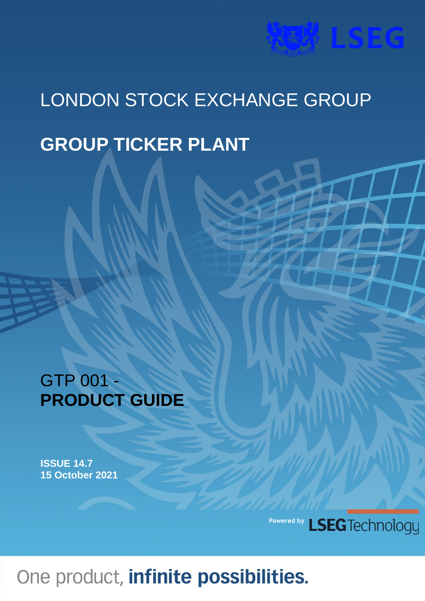# **WAY LSEG**

## LONDON STOCK EXCHANGE GROUP

### **GROUP TICKER PLANT**

### GTP 001 - **PRODUCT GUIDE**

**ISSUE 14.7 15 October 2021**

> LSEG Technology **Powered by**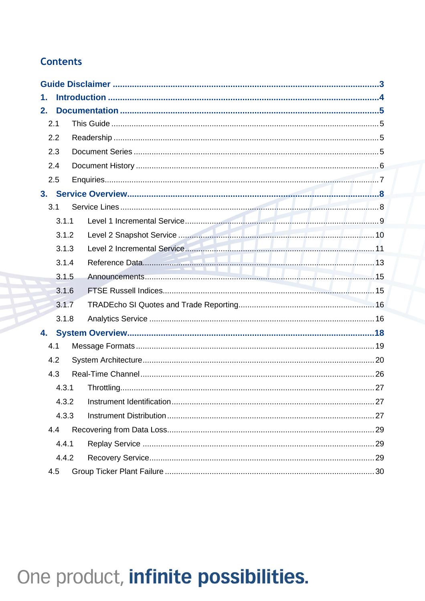### **Contents**

| 1.    |       |  |  |  |  |  |  |
|-------|-------|--|--|--|--|--|--|
| 2.    |       |  |  |  |  |  |  |
|       | 2.1   |  |  |  |  |  |  |
| 2.2   |       |  |  |  |  |  |  |
| 2.3   |       |  |  |  |  |  |  |
|       | 2.4   |  |  |  |  |  |  |
|       | 2.5   |  |  |  |  |  |  |
|       |       |  |  |  |  |  |  |
|       | 3.1   |  |  |  |  |  |  |
|       | 3.1.1 |  |  |  |  |  |  |
|       | 3.1.2 |  |  |  |  |  |  |
|       | 3.1.3 |  |  |  |  |  |  |
|       | 3.1.4 |  |  |  |  |  |  |
|       | 3.1.5 |  |  |  |  |  |  |
|       | 3.1.6 |  |  |  |  |  |  |
| 3.1.7 |       |  |  |  |  |  |  |
|       | 3.1.8 |  |  |  |  |  |  |
|       |       |  |  |  |  |  |  |
|       | 4.1   |  |  |  |  |  |  |
|       | 4.2   |  |  |  |  |  |  |
|       | 4.3   |  |  |  |  |  |  |
|       | 4.3.1 |  |  |  |  |  |  |
|       |       |  |  |  |  |  |  |
|       | 4.3.3 |  |  |  |  |  |  |
|       | 4.4   |  |  |  |  |  |  |
|       | 4.4.1 |  |  |  |  |  |  |
|       | 4.4.2 |  |  |  |  |  |  |
|       | 4.5   |  |  |  |  |  |  |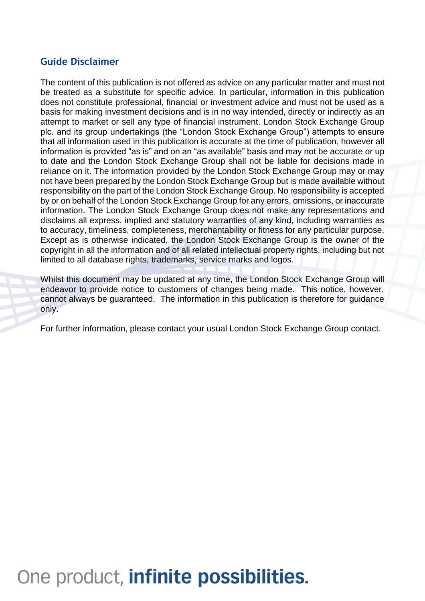#### **Guide Disclaimer**

The content of this publication is not offered as advice on any particular matter and must not be treated as a substitute for specific advice. In particular, information in this publication does not constitute professional, financial or investment advice and must not be used as a basis for making investment decisions and is in no way intended, directly or indirectly as an attempt to market or sell any type of financial instrument. London Stock Exchange Group plc. and its group undertakings (the "London Stock Exchange Group") attempts to ensure that all information used in this publication is accurate at the time of publication, however all information is provided "as is" and on an "as available" basis and may not be accurate or up to date and the London Stock Exchange Group shall not be liable for decisions made in reliance on it. The information provided by the London Stock Exchange Group may or may not have been prepared by the London Stock Exchange Group but is made available without responsibility on the part of the London Stock Exchange Group. No responsibility is accepted by or on behalf of the London Stock Exchange Group for any errors, omissions, or inaccurate information. The London Stock Exchange Group does not make any representations and disclaims all express, implied and statutory warranties of any kind, including warranties as to accuracy, timeliness, completeness, merchantability or fitness for any particular purpose. Except as is otherwise indicated, the London Stock Exchange Group is the owner of the copyright in all the information and of all related intellectual property rights, including but not limited to all database rights, trademarks, service marks and logos.

Whilst this document may be updated at any time, the London Stock Exchange Group will endeavor to provide notice to customers of changes being made. This notice, however, cannot always be guaranteed. The information in this publication is therefore for guidance only.

For further information, please contact your usual London Stock Exchange Group contact.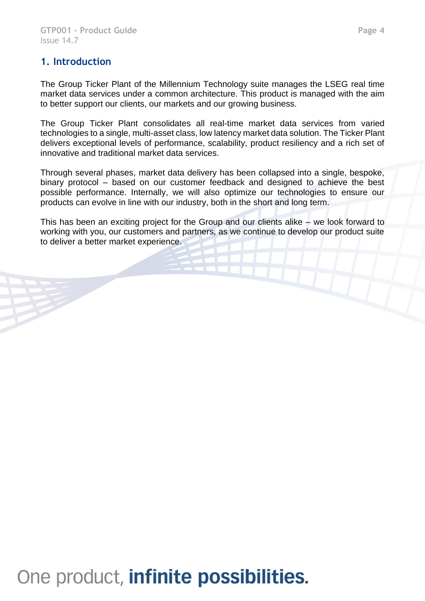The Group Ticker Plant of the Millennium Technology suite manages the LSEG real time market data services under a common architecture. This product is managed with the aim to better support our clients, our markets and our growing business.

The Group Ticker Plant consolidates all real-time market data services from varied technologies to a single, multi-asset class, low latency market data solution. The Ticker Plant delivers exceptional levels of performance, scalability, product resiliency and a rich set of innovative and traditional market data services.

Through several phases, market data delivery has been collapsed into a single, bespoke, binary protocol – based on our customer feedback and designed to achieve the best possible performance. Internally, we will also optimize our technologies to ensure our products can evolve in line with our industry, both in the short and long term.

This has been an exciting project for the Group and our clients alike – we look forward to working with you, our customers and partners, as we continue to develop our product suite to deliver a better market experience.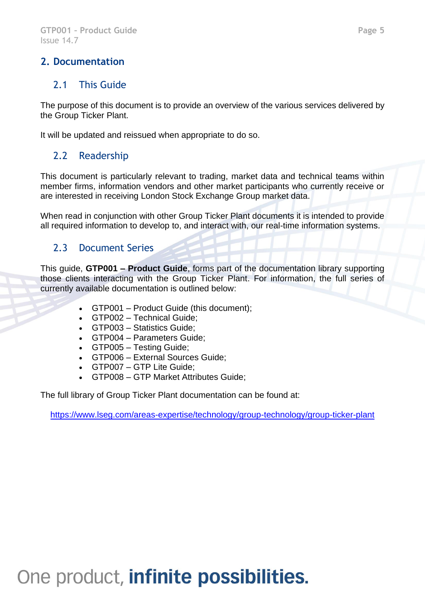#### **2. Documentation**

#### 2.1 This Guide

The purpose of this document is to provide an overview of the various services delivered by the Group Ticker Plant.

It will be updated and reissued when appropriate to do so.

### 2.2 Readership

This document is particularly relevant to trading, market data and technical teams within member firms, information vendors and other market participants who currently receive or are interested in receiving London Stock Exchange Group market data.

When read in conjunction with other Group Ticker Plant documents it is intended to provide all required information to develop to, and interact with, our real-time information systems.

#### 2.3 Document Series

This guide, **GTP001 – Product Guide**, forms part of the documentation library supporting those clients interacting with the Group Ticker Plant. For information, the full series of currently available documentation is outlined below:

- GTP001 Product Guide (this document);
- GTP002 Technical Guide;
- GTP003 Statistics Guide;
- GTP004 Parameters Guide;
- GTP005 Testing Guide;
- GTP006 External Sources Guide;
- GTP007 GTP Lite Guide;
- GTP008 GTP Market Attributes Guide;

The full library of Group Ticker Plant documentation can be found at:

<https://www.lseg.com/areas-expertise/technology/group-technology/group-ticker-plant>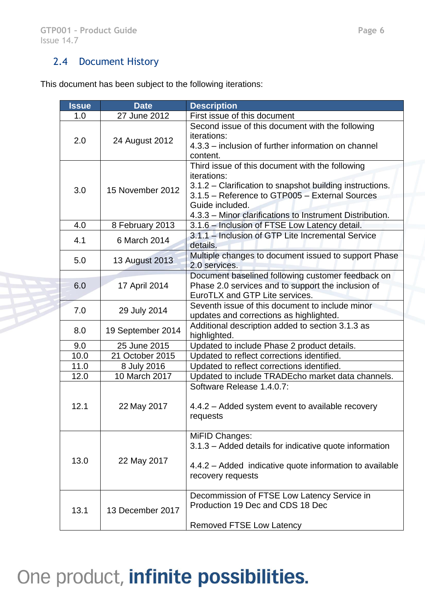#### 2.4 Document History

This document has been subject to the following iterations:

| <b>Issue</b> | <b>Date</b>       | <b>Description</b>                                                                                                                                                                                                                                                 |  |
|--------------|-------------------|--------------------------------------------------------------------------------------------------------------------------------------------------------------------------------------------------------------------------------------------------------------------|--|
| 1.0          | 27 June 2012      | First issue of this document                                                                                                                                                                                                                                       |  |
| 2.0          | 24 August 2012    | Second issue of this document with the following<br>iterations:<br>4.3.3 - inclusion of further information on channel<br>content.                                                                                                                                 |  |
| 3.0          | 15 November 2012  | Third issue of this document with the following<br><i>iterations:</i><br>3.1.2 – Clarification to snapshot building instructions.<br>3.1.5 - Reference to GTP005 - External Sources<br>Guide included.<br>4.3.3 - Minor clarifications to Instrument Distribution. |  |
| 4.0          | 8 February 2013   | 3.1.6 - Inclusion of FTSE Low Latency detail.                                                                                                                                                                                                                      |  |
| 4.1          | 6 March 2014      | 3.1.1 - Inclusion of GTP Lite Incremental Service<br>details.                                                                                                                                                                                                      |  |
| 5.0          | 13 August 2013    | Multiple changes to document issued to support Phase<br>2.0 services.                                                                                                                                                                                              |  |
| 6.0          | 17 April 2014     | Document baselined following customer feedback on<br>Phase 2.0 services and to support the inclusion of<br>EuroTLX and GTP Lite services.                                                                                                                          |  |
| 7.0          | 29 July 2014      | Seventh issue of this document to include minor<br>updates and corrections as highlighted.                                                                                                                                                                         |  |
| 8.0          | 19 September 2014 | Additional description added to section 3.1.3 as<br>highlighted.                                                                                                                                                                                                   |  |
| 9.0          | 25 June 2015      | Updated to include Phase 2 product details.                                                                                                                                                                                                                        |  |
| 10.0         | 21 October 2015   | Updated to reflect corrections identified.                                                                                                                                                                                                                         |  |
| 11.0         | 8 July 2016       | Updated to reflect corrections identified.                                                                                                                                                                                                                         |  |
| 12.0         | 10 March 2017     | Updated to include TRADEcho market data channels.                                                                                                                                                                                                                  |  |
| 12.1         | 22 May 2017       | Software Release 1.4.0.7:<br>4.4.2 – Added system event to available recovery<br>requests                                                                                                                                                                          |  |
| 13.0         | 22 May 2017       | MiFID Changes:<br>3.1.3 – Added details for indicative quote information<br>4.4.2 – Added indicative quote information to available<br>recovery requests                                                                                                           |  |
| 13.1         | 13 December 2017  | Decommission of FTSE Low Latency Service in<br>Production 19 Dec and CDS 18 Dec<br><b>Removed FTSE Low Latency</b>                                                                                                                                                 |  |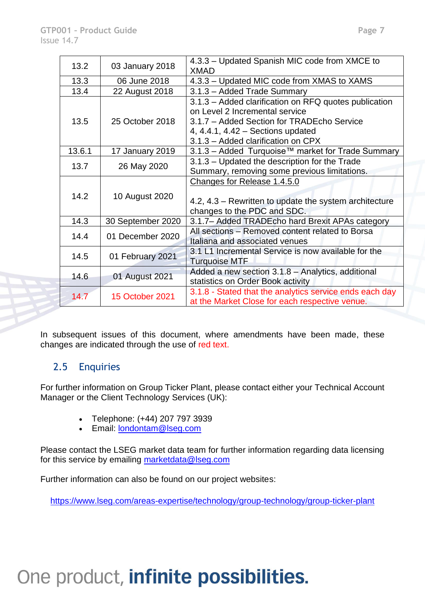| 13.2                      | 03 January 2018                                                                                       | 4.3.3 – Updated Spanish MIC code from XMCE to<br><b>XMAD</b>                                                                                                                                                       |  |
|---------------------------|-------------------------------------------------------------------------------------------------------|--------------------------------------------------------------------------------------------------------------------------------------------------------------------------------------------------------------------|--|
| 13.3                      | 06 June 2018                                                                                          | 4.3.3 – Updated MIC code from XMAS to XAMS                                                                                                                                                                         |  |
| 13.4                      | 22 August 2018                                                                                        | 3.1.3 - Added Trade Summary                                                                                                                                                                                        |  |
| 13.5                      | 25 October 2018                                                                                       | 3.1.3 - Added clarification on RFQ quotes publication<br>on Level 2 Incremental service<br>3.1.7 - Added Section for TRADEcho Service<br>4, 4.4.1, 4.42 $-$ Sections updated<br>3.1.3 - Added clarification on CPX |  |
| 13.6.1<br>17 January 2019 |                                                                                                       | 3.1.3 – Added Turquoise™ market for Trade Summary                                                                                                                                                                  |  |
| 13.7                      | 26 May 2020                                                                                           | 3.1.3 – Updated the description for the Trade<br>Summary, removing some previous limitations.                                                                                                                      |  |
| 14.2                      | 10 August 2020                                                                                        | Changes for Release 1.4.5.0<br>4.2, 4.3 – Rewritten to update the system architecture<br>changes to the PDC and SDC.                                                                                               |  |
| 14.3<br>30 September 2020 |                                                                                                       | 3.1.7– Added TRADEcho hard Brexit APAs category                                                                                                                                                                    |  |
| 14.4                      | All sections - Removed content related to Borsa<br>01 December 2020<br>Italiana and associated venues |                                                                                                                                                                                                                    |  |
| 14.5                      | 01 February 2021                                                                                      | 3.1 L1 Incremental Service is now available for the<br><b>Turquoise MTF</b>                                                                                                                                        |  |
| 14.6<br>01 August 2021    |                                                                                                       | Added a new section 3.1.8 - Analytics, additional<br>statistics on Order Book activity                                                                                                                             |  |
| 14.7                      | <b>15 October 2021</b>                                                                                | 3.1.8 - Stated that the analytics service ends each day<br>at the Market Close for each respective venue.                                                                                                          |  |

In subsequent issues of this document, where amendments have been made, these changes are indicated through the use of red text.

#### 2.5 Enquiries

For further information on Group Ticker Plant, please contact either your Technical Account Manager or the Client Technology Services (UK):

- Telephone: (+44) 207 797 3939
- Email: [londontam@lseg.com](mailto:londontam@lseg.com)

Please contact the LSEG market data team for further information regarding data licensing for this service by emailing [marketdata@lseg.com](mailto:marketdata@lseg.com)

Further information can also be found on our project websites:

<https://www.lseg.com/areas-expertise/technology/group-technology/group-ticker-plant>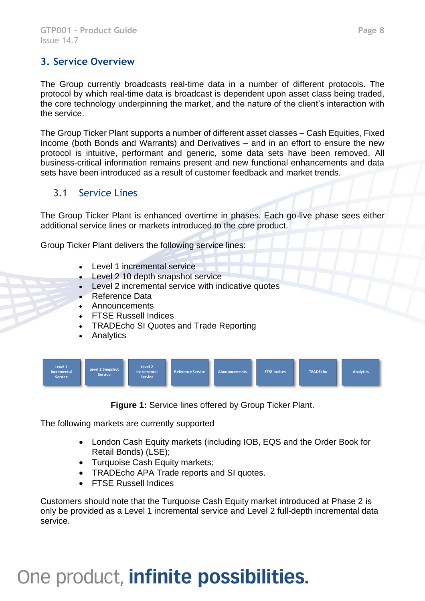#### **3. Service Overview**

The Group currently broadcasts real-time data in a number of different protocols. The protocol by which real-time data is broadcast is dependent upon asset class being traded, the core technology underpinning the market, and the nature of the client's interaction with the service.

The Group Ticker Plant supports a number of different asset classes – Cash Equities, Fixed Income (both Bonds and Warrants) and Derivatives – and in an effort to ensure the new protocol is intuitive, performant and generic, some data sets have been removed. All business-critical information remains present and new functional enhancements and data sets have been introduced as a result of customer feedback and market trends.

#### 3.1 Service Lines

The Group Ticker Plant is enhanced overtime in phases. Each go-live phase sees either additional service lines or markets introduced to the core product.

Group Ticker Plant delivers the following service lines:

- Level 1 incremental service
- Level 2 10 depth snapshot service
- Level 2 incremental service with indicative quotes
- Reference Data
- **Announcements**
- FTSE Russell Indices
- TRADEcho SI Quotes and Trade Reporting
- Analytics



**Figure 1:** Service lines offered by Group Ticker Plant.

The following markets are currently supported

- London Cash Equity markets (including IOB, EQS and the Order Book for Retail Bonds) (LSE);
- Turquoise Cash Equity markets;
- TRADEcho APA Trade reports and SI quotes.
- FTSE Russell Indices

Customers should note that the Turquoise Cash Equity market introduced at Phase 2 is only be provided as a Level 1 incremental service and Level 2 full-depth incremental data service.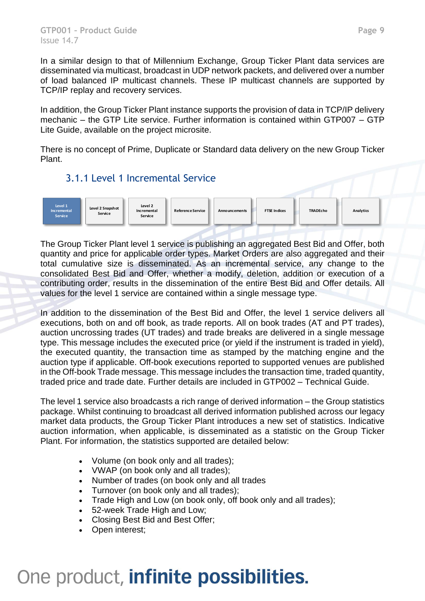In a similar design to that of Millennium Exchange, Group Ticker Plant data services are disseminated via multicast, broadcast in UDP network packets, and delivered over a number of load balanced IP multicast channels. These IP multicast channels are supported by TCP/IP replay and recovery services.

In addition, the Group Ticker Plant instance supports the provision of data in TCP/IP delivery mechanic – the GTP Lite service. Further information is contained within GTP007 – GTP Lite Guide, available on the project microsite.

There is no concept of Prime, Duplicate or Standard data delivery on the new Group Ticker Plant.

#### 3.1.1 Level 1 Incremental Service



The Group Ticker Plant level 1 service is publishing an aggregated Best Bid and Offer, both quantity and price for applicable order types. Market Orders are also aggregated and their total cumulative size is disseminated. As an incremental service, any change to the consolidated Best Bid and Offer, whether a modify, deletion, addition or execution of a contributing order, results in the dissemination of the entire Best Bid and Offer details. All values for the level 1 service are contained within a single message type.

In addition to the dissemination of the Best Bid and Offer, the level 1 service delivers all executions, both on and off book, as trade reports. All on book trades (AT and PT trades), auction uncrossing trades (UT trades) and trade breaks are delivered in a single message type. This message includes the executed price (or yield if the instrument is traded in yield), the executed quantity, the transaction time as stamped by the matching engine and the auction type if applicable. Off-book executions reported to supported venues are published in the Off-book Trade message. This message includes the transaction time, traded quantity, traded price and trade date. Further details are included in GTP002 – Technical Guide.

The level 1 service also broadcasts a rich range of derived information – the Group statistics package. Whilst continuing to broadcast all derived information published across our legacy market data products, the Group Ticker Plant introduces a new set of statistics. Indicative auction information, when applicable, is disseminated as a statistic on the Group Ticker Plant. For information, the statistics supported are detailed below:

- Volume (on book only and all trades);
- VWAP (on book only and all trades);
- Number of trades (on book only and all trades
- Turnover (on book only and all trades);
- Trade High and Low (on book only, off book only and all trades);
- 52-week Trade High and Low;
- Closing Best Bid and Best Offer;
- Open interest;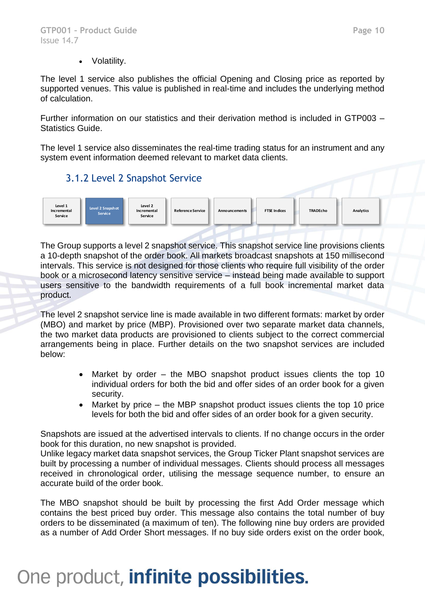The level 1 service also publishes the official Opening and Closing price as reported by supported venues. This value is published in real-time and includes the underlying method of calculation.

Further information on our statistics and their derivation method is included in GTP003 – Statistics Guide.

The level 1 service also disseminates the real-time trading status for an instrument and any system event information deemed relevant to market data clients.

#### 3.1.2 Level 2 Snapshot Service



The Group supports a level 2 snapshot service. This snapshot service line provisions clients a 10-depth snapshot of the order book. All markets broadcast snapshots at 150 millisecond intervals. This service is not designed for those clients who require full visibility of the order book or a microsecond latency sensitive service – instead being made available to support users sensitive to the bandwidth requirements of a full book incremental market data product.

The level 2 snapshot service line is made available in two different formats: market by order (MBO) and market by price (MBP). Provisioned over two separate market data channels, the two market data products are provisioned to clients subject to the correct commercial arrangements being in place. Further details on the two snapshot services are included below:

- Market by order the MBO snapshot product issues clients the top 10 individual orders for both the bid and offer sides of an order book for a given security.
- Market by price the MBP snapshot product issues clients the top 10 price levels for both the bid and offer sides of an order book for a given security.

Snapshots are issued at the advertised intervals to clients. If no change occurs in the order book for this duration, no new snapshot is provided.

Unlike legacy market data snapshot services, the Group Ticker Plant snapshot services are built by processing a number of individual messages. Clients should process all messages received in chronological order, utilising the message sequence number, to ensure an accurate build of the order book.

The MBO snapshot should be built by processing the first Add Order message which contains the best priced buy order. This message also contains the total number of buy orders to be disseminated (a maximum of ten). The following nine buy orders are provided as a number of Add Order Short messages. If no buy side orders exist on the order book,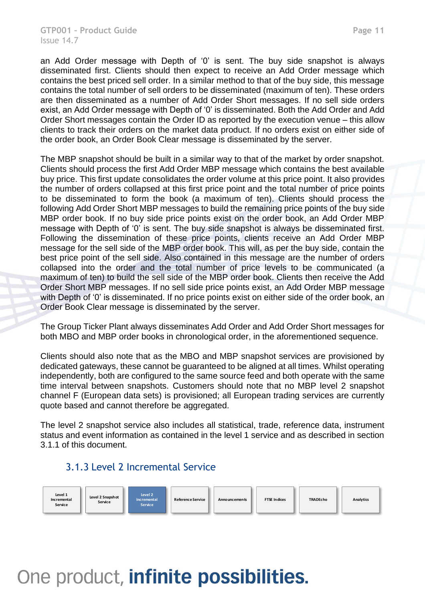an Add Order message with Depth of '0' is sent. The buy side snapshot is always disseminated first. Clients should then expect to receive an Add Order message which contains the best priced sell order. In a similar method to that of the buy side, this message contains the total number of sell orders to be disseminated (maximum of ten). These orders are then disseminated as a number of Add Order Short messages. If no sell side orders exist, an Add Order message with Depth of '0' is disseminated. Both the Add Order and Add Order Short messages contain the Order ID as reported by the execution venue – this allow clients to track their orders on the market data product. If no orders exist on either side of the order book, an Order Book Clear message is disseminated by the server.

The MBP snapshot should be built in a similar way to that of the market by order snapshot. Clients should process the first Add Order MBP message which contains the best available buy price. This first update consolidates the order volume at this price point. It also provides the number of orders collapsed at this first price point and the total number of price points to be disseminated to form the book (a maximum of ten). Clients should process the following Add Order Short MBP messages to build the remaining price points of the buy side MBP order book. If no buy side price points exist on the order book, an Add Order MBP message with Depth of '0' is sent. The buy side snapshot is always be disseminated first. Following the dissemination of these price points, clients receive an Add Order MBP message for the sell side of the MBP order book. This will, as per the buy side, contain the best price point of the sell side. Also contained in this message are the number of orders collapsed into the order and the total number of price levels to be communicated (a maximum of ten) to build the sell side of the MBP order book. Clients then receive the Add Order Short MBP messages. If no sell side price points exist, an Add Order MBP message with Depth of '0' is disseminated. If no price points exist on either side of the order book, an Order Book Clear message is disseminated by the server.

The Group Ticker Plant always disseminates Add Order and Add Order Short messages for both MBO and MBP order books in chronological order, in the aforementioned sequence.

Clients should also note that as the MBO and MBP snapshot services are provisioned by dedicated gateways, these cannot be guaranteed to be aligned at all times. Whilst operating independently, both are configured to the same source feed and both operate with the same time interval between snapshots. Customers should note that no MBP level 2 snapshot channel F (European data sets) is provisioned; all European trading services are currently quote based and cannot therefore be aggregated.

The level 2 snapshot service also includes all statistical, trade, reference data, instrument status and event information as contained in the level 1 service and as described in section 3.1.1 of this document.

#### 3.1.3 Level 2 Incremental Service

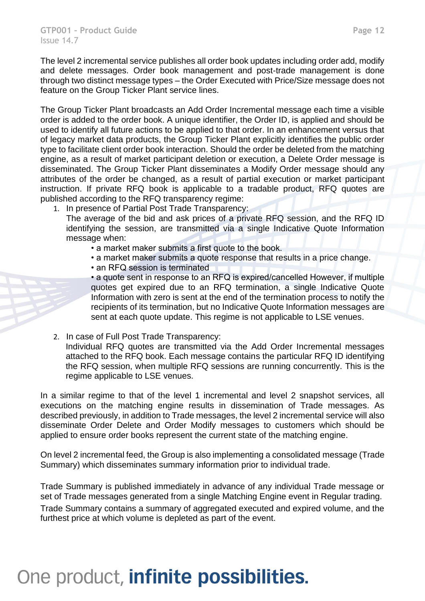The level 2 incremental service publishes all order book updates including order add, modify and delete messages. Order book management and post-trade management is done through two distinct message types – the Order Executed with Price/Size message does not feature on the Group Ticker Plant service lines.

The Group Ticker Plant broadcasts an Add Order Incremental message each time a visible order is added to the order book. A unique identifier, the Order ID, is applied and should be used to identify all future actions to be applied to that order. In an enhancement versus that of legacy market data products, the Group Ticker Plant explicitly identifies the public order type to facilitate client order book interaction. Should the order be deleted from the matching engine, as a result of market participant deletion or execution, a Delete Order message is disseminated. The Group Ticker Plant disseminates a Modify Order message should any attributes of the order be changed, as a result of partial execution or market participant instruction. If private RFQ book is applicable to a tradable product, RFQ quotes are published according to the RFQ transparency regime:

1. In presence of Partial Post Trade Transparency:

The average of the bid and ask prices of a private RFQ session, and the RFQ ID identifying the session, are transmitted via a single Indicative Quote Information message when:

- a market maker submits a first quote to the book.
- a market maker submits a quote response that results in a price change.
- an RFQ session is terminated

• a quote sent in response to an RFQ is expired/cancelled However, if multiple quotes get expired due to an RFQ termination, a single Indicative Quote Information with zero is sent at the end of the termination process to notify the recipients of its termination, but no Indicative Quote Information messages are sent at each quote update. This regime is not applicable to LSE venues.

2. In case of Full Post Trade Transparency:

Individual RFQ quotes are transmitted via the Add Order Incremental messages attached to the RFQ book. Each message contains the particular RFQ ID identifying the RFQ session, when multiple RFQ sessions are running concurrently. This is the regime applicable to LSE venues.

In a similar regime to that of the level 1 incremental and level 2 snapshot services, all executions on the matching engine results in dissemination of Trade messages. As described previously, in addition to Trade messages, the level 2 incremental service will also disseminate Order Delete and Order Modify messages to customers which should be applied to ensure order books represent the current state of the matching engine.

On level 2 incremental feed, the Group is also implementing a consolidated message (Trade Summary) which disseminates summary information prior to individual trade.

Trade Summary is published immediately in advance of any individual Trade message or set of Trade messages generated from a single Matching Engine event in Regular trading. Trade Summary contains a summary of aggregated executed and expired volume, and the furthest price at which volume is depleted as part of the event.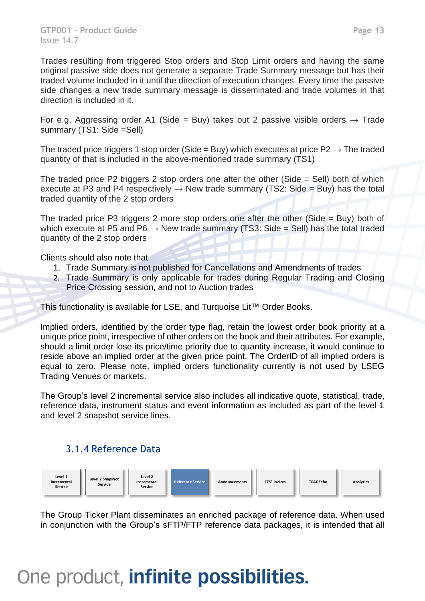Trades resulting from triggered Stop orders and Stop Limit orders and having the same original passive side does not generate a separate Trade Summary message but has their traded volume included in it until the direction of execution changes. Every time the passive side changes a new trade summary message is disseminated and trade volumes in that direction is included in it.

For e.g. Aggressing order A1 (Side = Buy) takes out 2 passive visible orders  $\rightarrow$  Trade summary (TS1: Side =Sell)

The traded price triggers 1 stop order (Side = Buy) which executes at price  $P2 \rightarrow$  The traded quantity of that is included in the above-mentioned trade summary (TS1)

The traded price P2 triggers 2 stop orders one after the other (Side = Sell) both of which execute at P3 and P4 respectively  $\rightarrow$  New trade summary (TS2: Side = Buy) has the total traded quantity of the 2 stop orders

The traded price P3 triggers 2 more stop orders one after the other (Side = Buy) both of which execute at P5 and P6  $\rightarrow$  New trade summary (TS3: Side = Sell) has the total traded quantity of the 2 stop orders

Clients should also note that

- 1. Trade Summary is not published for Cancellations and Amendments of trades
- 2. Trade Summary is only applicable for trades during Regular Trading and Closing Price Crossing session, and not to Auction trades

This functionality is available for LSE, and Turquoise Lit™ Order Books.

Implied orders, identified by the order type flag, retain the lowest order book priority at a unique price point, irrespective of other orders on the book and their attributes. For example, should a limit order lose its price/time priority due to quantity increase, it would continue to reside above an implied order at the given price point. The OrderID of all implied orders is equal to zero. Please note, implied orders functionality currently is not used by LSEG Trading Venues or markets.

The Group's level 2 incremental service also includes all indicative quote, statistical, trade, reference data, instrument status and event information as included as part of the level 1 and level 2 snapshot service lines.

#### 3.1.4 Reference Data



The Group Ticker Plant disseminates an enriched package of reference data. When used in conjunction with the Group's sFTP/FTP reference data packages, it is intended that all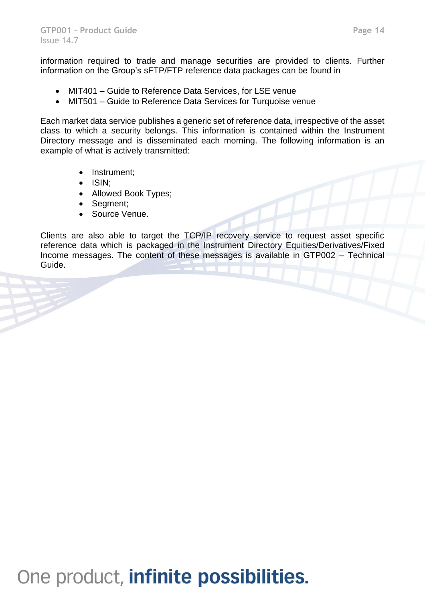information required to trade and manage securities are provided to clients. Further information on the Group's sFTP/FTP reference data packages can be found in

- MIT401 Guide to Reference Data Services, for LSE venue
- MIT501 Guide to Reference Data Services for Turquoise venue

Each market data service publishes a generic set of reference data, irrespective of the asset class to which a security belongs. This information is contained within the Instrument Directory message and is disseminated each morning. The following information is an example of what is actively transmitted:

- Instrument;
- ISIN;
- Allowed Book Types;
- Segment;
- Source Venue.

Clients are also able to target the TCP/IP recovery service to request asset specific reference data which is packaged in the Instrument Directory Equities/Derivatives/Fixed Income messages. The content of these messages is available in GTP002 – Technical Guide.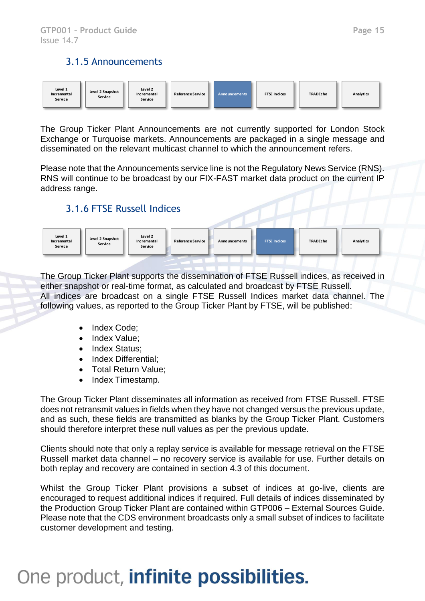#### 3.1.5 Announcements



The Group Ticker Plant Announcements are not currently supported for London Stock Exchange or Turquoise markets. Announcements are packaged in a single message and disseminated on the relevant multicast channel to which the announcement refers.

Please note that the Announcements service line is not the Regulatory News Service (RNS). RNS will continue to be broadcast by our FIX-FAST market data product on the current IP address range.

#### 3.1.6 FTSE Russell Indices



The Group Ticker Plant supports the dissemination of FTSE Russell indices, as received in either snapshot or real-time format, as calculated and broadcast by FTSE Russell. All indices are broadcast on a single FTSE Russell Indices market data channel. The following values, as reported to the Group Ticker Plant by FTSE, will be published:

- Index Code:
- Index Value:
- Index Status:
- Index Differential;
- Total Return Value;
- Index Timestamp.

The Group Ticker Plant disseminates all information as received from FTSE Russell. FTSE does not retransmit values in fields when they have not changed versus the previous update, and as such, these fields are transmitted as blanks by the Group Ticker Plant. Customers should therefore interpret these null values as per the previous update.

Clients should note that only a replay service is available for message retrieval on the FTSE Russell market data channel – no recovery service is available for use. Further details on both replay and recovery are contained in section 4.3 of this document.

Whilst the Group Ticker Plant provisions a subset of indices at go-live, clients are encouraged to request additional indices if required. Full details of indices disseminated by the Production Group Ticker Plant are contained within GTP006 – External Sources Guide. Please note that the CDS environment broadcasts only a small subset of indices to facilitate customer development and testing.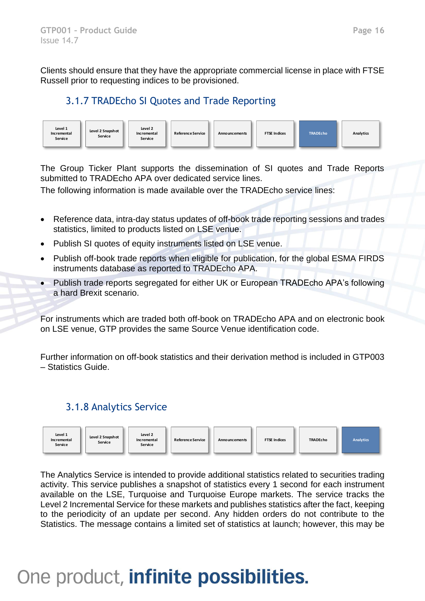Clients should ensure that they have the appropriate commercial license in place with FTSE Russell prior to requesting indices to be provisioned.

#### 3.1.7 TRADEcho SI Quotes and Trade Reporting



The Group Ticker Plant supports the dissemination of SI quotes and Trade Reports submitted to TRADEcho APA over dedicated service lines.

The following information is made available over the TRADEcho service lines:

- Reference data, intra-day status updates of off-book trade reporting sessions and trades statistics, limited to products listed on LSE venue.
- Publish SI quotes of equity instruments listed on LSE venue.
- Publish off-book trade reports when eligible for publication, for the global ESMA FIRDS instruments database as reported to TRADEcho APA.
- Publish trade reports segregated for either UK or European TRADEcho APA's following a hard Brexit scenario.

For instruments which are traded both off-book on TRADEcho APA and on electronic book on LSE venue, GTP provides the same Source Venue identification code.

Further information on off-book statistics and their derivation method is included in GTP003 – Statistics Guide.

#### 3.1.8 Analytics Service



The Analytics Service is intended to provide additional statistics related to securities trading activity. This service publishes a snapshot of statistics every 1 second for each instrument available on the LSE, Turquoise and Turquoise Europe markets. The service tracks the Level 2 Incremental Service for these markets and publishes statistics after the fact, keeping to the periodicity of an update per second. Any hidden orders do not contribute to the Statistics. The message contains a limited set of statistics at launch; however, this may be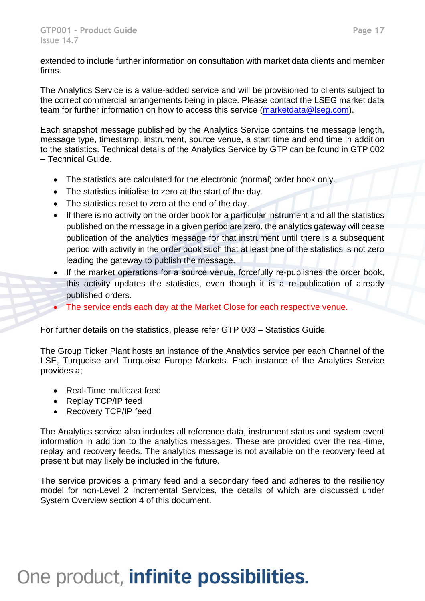extended to include further information on consultation with market data clients and member firms.

The Analytics Service is a value-added service and will be provisioned to clients subject to the correct commercial arrangements being in place. Please contact the LSEG market data team for further information on how to access this service [\(marketdata@lseg.com\)](mailto:marketdata@lseg.com).

Each snapshot message published by the Analytics Service contains the message length, message type, timestamp, instrument, source venue, a start time and end time in addition to the statistics. Technical details of the Analytics Service by GTP can be found in GTP 002 – Technical Guide.

- The statistics are calculated for the electronic (normal) order book only.
- The statistics initialise to zero at the start of the day.
- The statistics reset to zero at the end of the day.
- If there is no activity on the order book for a particular instrument and all the statistics published on the message in a given period are zero, the analytics gateway will cease publication of the analytics message for that instrument until there is a subsequent period with activity in the order book such that at least one of the statistics is not zero leading the gateway to publish the message.
- If the market operations for a source venue, forcefully re-publishes the order book, this activity updates the statistics, even though it is a re-publication of already published orders.
- The service ends each day at the Market Close for each respective venue.

For further details on the statistics, please refer GTP 003 – Statistics Guide.

The Group Ticker Plant hosts an instance of the Analytics service per each Channel of the LSE, Turquoise and Turquoise Europe Markets. Each instance of the Analytics Service provides a;

- Real-Time multicast feed
- Replay TCP/IP feed
- Recovery TCP/IP feed

The Analytics service also includes all reference data, instrument status and system event information in addition to the analytics messages. These are provided over the real-time, replay and recovery feeds. The analytics message is not available on the recovery feed at present but may likely be included in the future.

The service provides a primary feed and a secondary feed and adheres to the resiliency model for non-Level 2 Incremental Services, the details of which are discussed under System Overview section 4 of this document.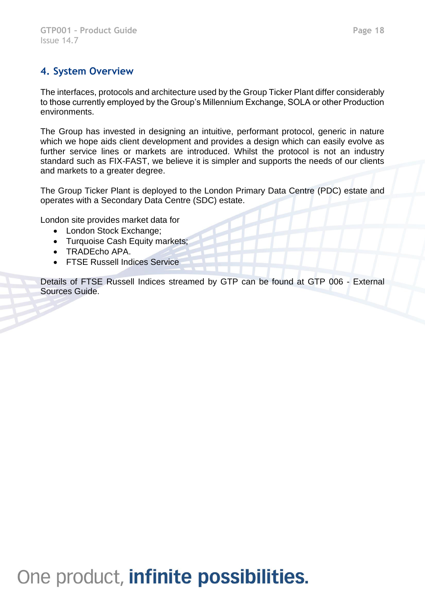### **4. System Overview**

The interfaces, protocols and architecture used by the Group Ticker Plant differ considerably to those currently employed by the Group's Millennium Exchange, SOLA or other Production environments.

The Group has invested in designing an intuitive, performant protocol, generic in nature which we hope aids client development and provides a design which can easily evolve as further service lines or markets are introduced. Whilst the protocol is not an industry standard such as FIX-FAST, we believe it is simpler and supports the needs of our clients and markets to a greater degree.

The Group Ticker Plant is deployed to the London Primary Data Centre (PDC) estate and operates with a Secondary Data Centre (SDC) estate.

London site provides market data for

- London Stock Exchange;
- Turquoise Cash Equity markets;
- TRADEcho APA.
- FTSE Russell Indices Service

Details of FTSE Russell Indices streamed by GTP can be found at GTP 006 - External Sources Guide.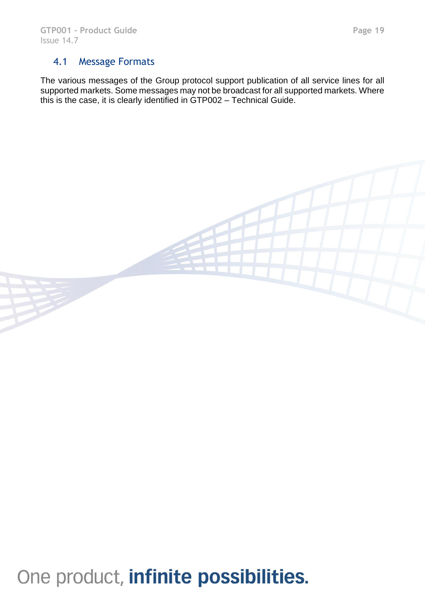#### 4.1 Message Formats

The various messages of the Group protocol support publication of all service lines for all supported markets. Some messages may not be broadcast for all supported markets. Where this is the case, it is clearly identified in GTP002 – Technical Guide.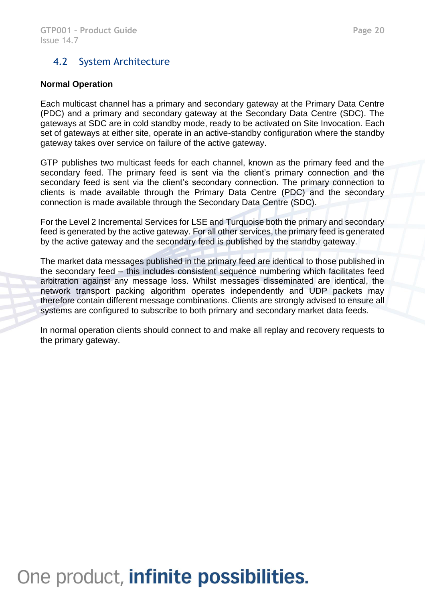#### 4.2 System Architecture

#### **Normal Operation**

Each multicast channel has a primary and secondary gateway at the Primary Data Centre (PDC) and a primary and secondary gateway at the Secondary Data Centre (SDC). The gateways at SDC are in cold standby mode, ready to be activated on Site Invocation. Each set of gateways at either site, operate in an active-standby configuration where the standby gateway takes over service on failure of the active gateway.

GTP publishes two multicast feeds for each channel, known as the primary feed and the secondary feed. The primary feed is sent via the client's primary connection and the secondary feed is sent via the client's secondary connection. The primary connection to clients is made available through the Primary Data Centre (PDC) and the secondary connection is made available through the Secondary Data Centre (SDC).

For the Level 2 Incremental Services for LSE and Turquoise both the primary and secondary feed is generated by the active gateway. For all other services, the primary feed is generated by the active gateway and the secondary feed is published by the standby gateway.

The market data messages published in the primary feed are identical to those published in the secondary feed – this includes consistent sequence numbering which facilitates feed arbitration against any message loss. Whilst messages disseminated are identical, the network transport packing algorithm operates independently and UDP packets may therefore contain different message combinations. Clients are strongly advised to ensure all systems are configured to subscribe to both primary and secondary market data feeds.

In normal operation clients should connect to and make all replay and recovery requests to the primary gateway.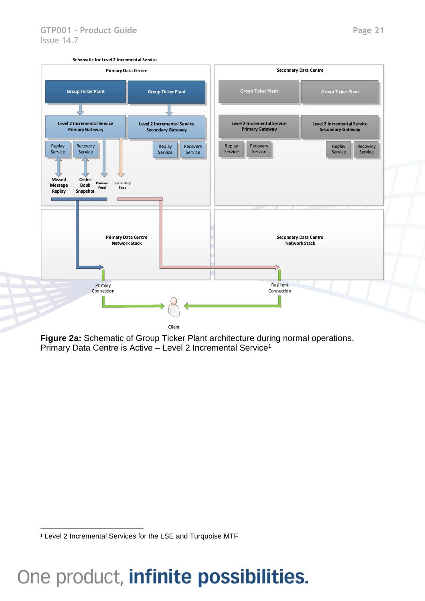

**Figure 2a:** Schematic of Group Ticker Plant architecture during normal operations, Primary Data Centre is Active – Level 2 Incremental Service<sup>1</sup>

<sup>&</sup>lt;sup>1</sup> Level 2 Incremental Services for the LSE and Turquoise MTF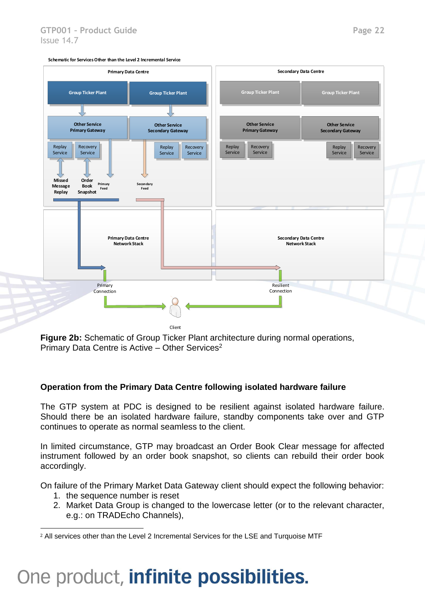

**Figure 2b:** Schematic of Group Ticker Plant architecture during normal operations, Primary Data Centre is Active – Other Services<sup>2</sup>

#### **Operation from the Primary Data Centre following isolated hardware failure**

The GTP system at PDC is designed to be resilient against isolated hardware failure. Should there be an isolated hardware failure, standby components take over and GTP continues to operate as normal seamless to the client.

In limited circumstance, GTP may broadcast an Order Book Clear message for affected instrument followed by an order book snapshot, so clients can rebuild their order book accordingly.

On failure of the Primary Market Data Gateway client should expect the following behavior:

- 1. the sequence number is reset
- 2. Market Data Group is changed to the lowercase letter (or to the relevant character, e.g.: on TRADEcho Channels),

<sup>2</sup> All services other than the Level 2 Incremental Services for the LSE and Turquoise MTF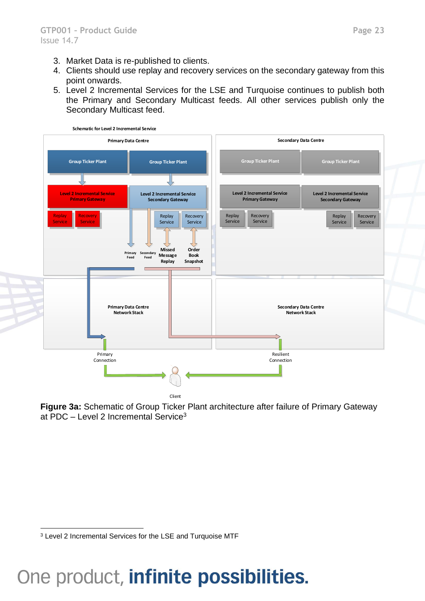- 3. Market Data is re-published to clients.
- 4. Clients should use replay and recovery services on the secondary gateway from this point onwards.
- 5. Level 2 Incremental Services for the LSE and Turquoise continues to publish both the Primary and Secondary Multicast feeds. All other services publish only the Secondary Multicast feed.



**Figure 3a:** Schematic of Group Ticker Plant architecture after failure of Primary Gateway at PDC – Level 2 Incremental Service<sup>3</sup>

<sup>3</sup> Level 2 Incremental Services for the LSE and Turquoise MTF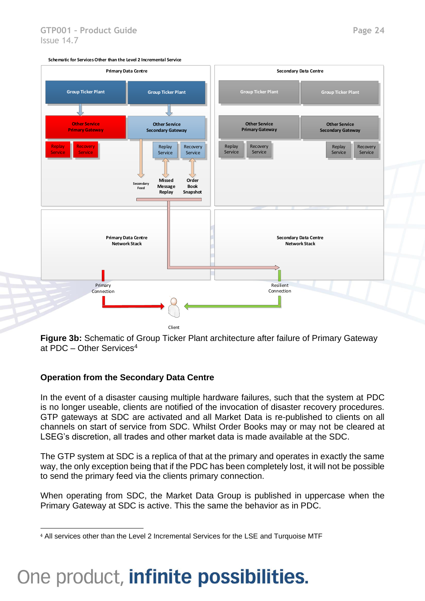

**Figure 3b:** Schematic of Group Ticker Plant architecture after failure of Primary Gateway at PDC – Other Services<sup>4</sup>

#### **Operation from the Secondary Data Centre**

In the event of a disaster causing multiple hardware failures, such that the system at PDC is no longer useable, clients are notified of the invocation of disaster recovery procedures. GTP gateways at SDC are activated and all Market Data is re-published to clients on all channels on start of service from SDC. Whilst Order Books may or may not be cleared at LSEG's discretion, all trades and other market data is made available at the SDC.

The GTP system at SDC is a replica of that at the primary and operates in exactly the same way, the only exception being that if the PDC has been completely lost, it will not be possible to send the primary feed via the clients primary connection.

When operating from SDC, the Market Data Group is published in uppercase when the Primary Gateway at SDC is active. This the same the behavior as in PDC.

<sup>4</sup> All services other than the Level 2 Incremental Services for the LSE and Turquoise MTF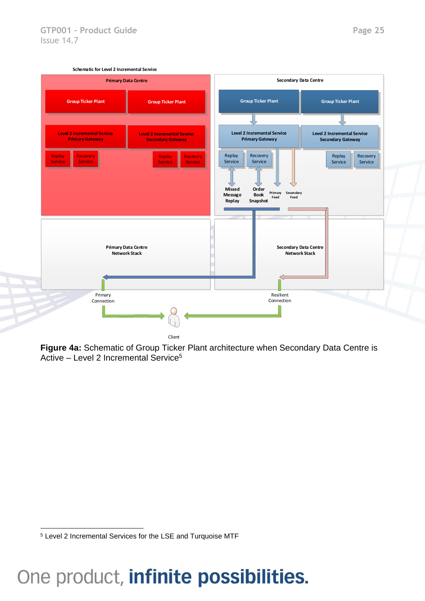

**Figure 4a:** Schematic of Group Ticker Plant architecture when Secondary Data Centre is Active – Level 2 Incremental Service<sup>5</sup>

<sup>5</sup> Level 2 Incremental Services for the LSE and Turquoise MTF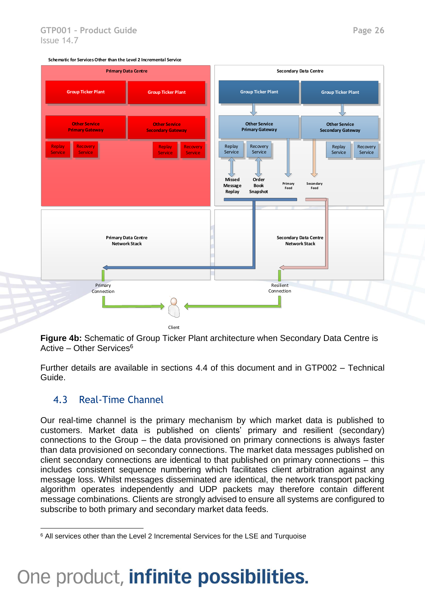

**Figure 4b:** Schematic of Group Ticker Plant architecture when Secondary Data Centre is Active – Other Services $6$ 

Further details are available in sections 4.4 of this document and in GTP002 – Technical Guide.

#### 4.3 Real-Time Channel

Our real-time channel is the primary mechanism by which market data is published to customers. Market data is published on clients' primary and resilient (secondary) connections to the Group – the data provisioned on primary connections is always faster than data provisioned on secondary connections. The market data messages published on client secondary connections are identical to that published on primary connections – this includes consistent sequence numbering which facilitates client arbitration against any message loss. Whilst messages disseminated are identical, the network transport packing algorithm operates independently and UDP packets may therefore contain different message combinations. Clients are strongly advised to ensure all systems are configured to subscribe to both primary and secondary market data feeds.

<sup>&</sup>lt;sup>6</sup> All services other than the Level 2 Incremental Services for the LSE and Turquoise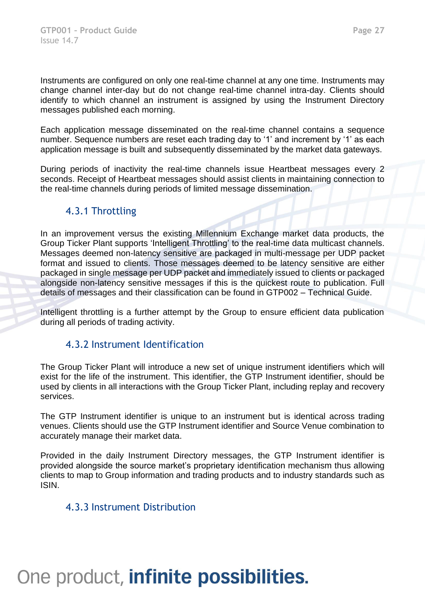Instruments are configured on only one real-time channel at any one time. Instruments may change channel inter-day but do not change real-time channel intra-day. Clients should identify to which channel an instrument is assigned by using the Instrument Directory messages published each morning.

Each application message disseminated on the real-time channel contains a sequence number. Sequence numbers are reset each trading day to '1' and increment by '1' as each application message is built and subsequently disseminated by the market data gateways.

During periods of inactivity the real-time channels issue Heartbeat messages every 2 seconds. Receipt of Heartbeat messages should assist clients in maintaining connection to the real-time channels during periods of limited message dissemination.

#### 4.3.1 Throttling

In an improvement versus the existing Millennium Exchange market data products, the Group Ticker Plant supports 'Intelligent Throttling' to the real-time data multicast channels. Messages deemed non-latency sensitive are packaged in multi-message per UDP packet format and issued to clients. Those messages deemed to be latency sensitive are either packaged in single message per UDP packet and immediately issued to clients or packaged alongside non-latency sensitive messages if this is the quickest route to publication. Full details of messages and their classification can be found in GTP002 – Technical Guide.

Intelligent throttling is a further attempt by the Group to ensure efficient data publication during all periods of trading activity.

#### 4.3.2 Instrument Identification

The Group Ticker Plant will introduce a new set of unique instrument identifiers which will exist for the life of the instrument. This identifier, the GTP Instrument identifier, should be used by clients in all interactions with the Group Ticker Plant, including replay and recovery services.

The GTP Instrument identifier is unique to an instrument but is identical across trading venues. Clients should use the GTP Instrument identifier and Source Venue combination to accurately manage their market data.

Provided in the daily Instrument Directory messages, the GTP Instrument identifier is provided alongside the source market's proprietary identification mechanism thus allowing clients to map to Group information and trading products and to industry standards such as ISIN.

#### 4.3.3 Instrument Distribution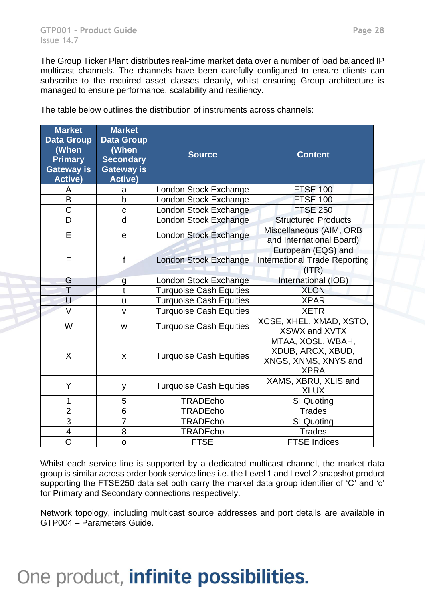The Group Ticker Plant distributes real-time market data over a number of load balanced IP multicast channels. The channels have been carefully configured to ensure clients can subscribe to the required asset classes cleanly, whilst ensuring Group architecture is managed to ensure performance, scalability and resiliency.

| <b>Market</b><br><b>Data Group</b><br>(When<br><b>Primary</b><br><b>Gateway is</b><br><b>Active)</b> | <b>Market</b><br><b>Data Group</b><br>(When<br><b>Secondary</b><br><b>Gateway is</b><br><b>Active)</b> | <b>Source</b>                  | <b>Content</b>                                                                |
|------------------------------------------------------------------------------------------------------|--------------------------------------------------------------------------------------------------------|--------------------------------|-------------------------------------------------------------------------------|
| A                                                                                                    | a                                                                                                      | London Stock Exchange          | <b>FTSE 100</b>                                                               |
| B                                                                                                    | b                                                                                                      | London Stock Exchange          | <b>FTSE 100</b>                                                               |
| $\mathsf C$                                                                                          | $\mathbf C$                                                                                            | London Stock Exchange          | <b>FTSE 250</b>                                                               |
| D                                                                                                    | $\mathsf{d}$                                                                                           | London Stock Exchange          | <b>Structured Products</b>                                                    |
| E                                                                                                    | $\mathbf e$                                                                                            | <b>London Stock Exchange</b>   | Miscellaneous (AIM, ORB<br>and International Board)                           |
| F                                                                                                    | f                                                                                                      | London Stock Exchange          | European (EQS) and<br><b>International Trade Reporting</b><br>(ITR)           |
| G                                                                                                    | $\mathbf{q}$                                                                                           | London Stock Exchange          | International (IOB)                                                           |
| Τ                                                                                                    | t                                                                                                      | <b>Turquoise Cash Equities</b> | <b>XLON</b>                                                                   |
| U                                                                                                    | U                                                                                                      | <b>Turquoise Cash Equities</b> | <b>XPAR</b>                                                                   |
| V                                                                                                    | $\mathsf{v}$                                                                                           | <b>Turquoise Cash Equities</b> | <b>XETR</b>                                                                   |
| W                                                                                                    | W                                                                                                      | <b>Turquoise Cash Equities</b> | XCSE, XHEL, XMAD, XSTO,<br><b>XSWX and XVTX</b>                               |
| X                                                                                                    | X                                                                                                      | <b>Turquoise Cash Equities</b> | MTAA, XOSL, WBAH,<br>XDUB, ARCX, XBUD,<br>XNGS, XNMS, XNYS and<br><b>XPRA</b> |
| Y                                                                                                    | y                                                                                                      | <b>Turquoise Cash Equities</b> | XAMS, XBRU, XLIS and<br><b>XLUX</b>                                           |
| 1                                                                                                    | 5                                                                                                      | <b>TRADEcho</b>                | SI Quoting                                                                    |
| $\overline{2}$                                                                                       | 6                                                                                                      | <b>TRADEcho</b>                | <b>Trades</b>                                                                 |
| 3                                                                                                    | $\overline{7}$                                                                                         | <b>TRADEcho</b>                | SI Quoting                                                                    |
| 4                                                                                                    | 8                                                                                                      | <b>TRADEcho</b>                | <b>Trades</b>                                                                 |
| $\overline{O}$                                                                                       | $\mathbf{o}$                                                                                           | <b>FTSE</b>                    | <b>FTSE Indices</b>                                                           |

The table below outlines the distribution of instruments across channels:

Whilst each service line is supported by a dedicated multicast channel, the market data group is similar across order book service lines i.e. the Level 1 and Level 2 snapshot product supporting the FTSE250 data set both carry the market data group identifier of 'C' and 'c' for Primary and Secondary connections respectively.

Network topology, including multicast source addresses and port details are available in GTP004 – Parameters Guide.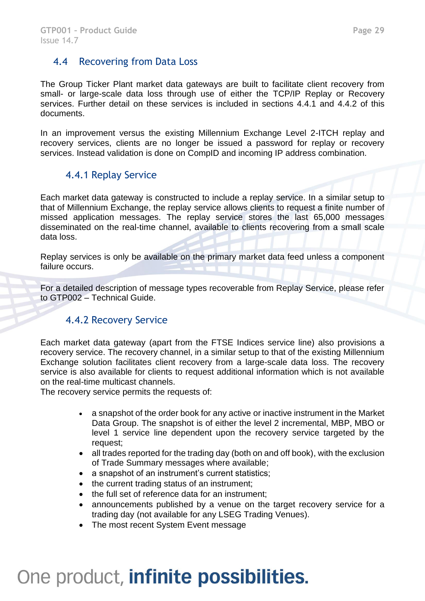#### 4.4 Recovering from Data Loss

The Group Ticker Plant market data gateways are built to facilitate client recovery from small- or large-scale data loss through use of either the TCP/IP Replay or Recovery services. Further detail on these services is included in sections 4.4.1 and 4.4.2 of this documents.

In an improvement versus the existing Millennium Exchange Level 2-ITCH replay and recovery services, clients are no longer be issued a password for replay or recovery services. Instead validation is done on CompID and incoming IP address combination.

#### 4.4.1 Replay Service

Each market data gateway is constructed to include a replay service. In a similar setup to that of Millennium Exchange, the replay service allows clients to request a finite number of missed application messages. The replay service stores the last 65,000 messages disseminated on the real-time channel, available to clients recovering from a small scale data loss.

Replay services is only be available on the primary market data feed unless a component failure occurs.

For a detailed description of message types recoverable from Replay Service, please refer to GTP002 – Technical Guide.

#### 4.4.2 Recovery Service

Each market data gateway (apart from the FTSE Indices service line) also provisions a recovery service. The recovery channel, in a similar setup to that of the existing Millennium Exchange solution facilitates client recovery from a large-scale data loss. The recovery service is also available for clients to request additional information which is not available on the real-time multicast channels.

The recovery service permits the requests of:

- a snapshot of the order book for any active or inactive instrument in the Market Data Group. The snapshot is of either the level 2 incremental, MBP, MBO or level 1 service line dependent upon the recovery service targeted by the request;
- all trades reported for the trading day (both on and off book), with the exclusion of Trade Summary messages where available;
- a snapshot of an instrument's current statistics;
- the current trading status of an instrument;
- the full set of reference data for an instrument;
- announcements published by a venue on the target recovery service for a trading day (not available for any LSEG Trading Venues).
- The most recent System Event message